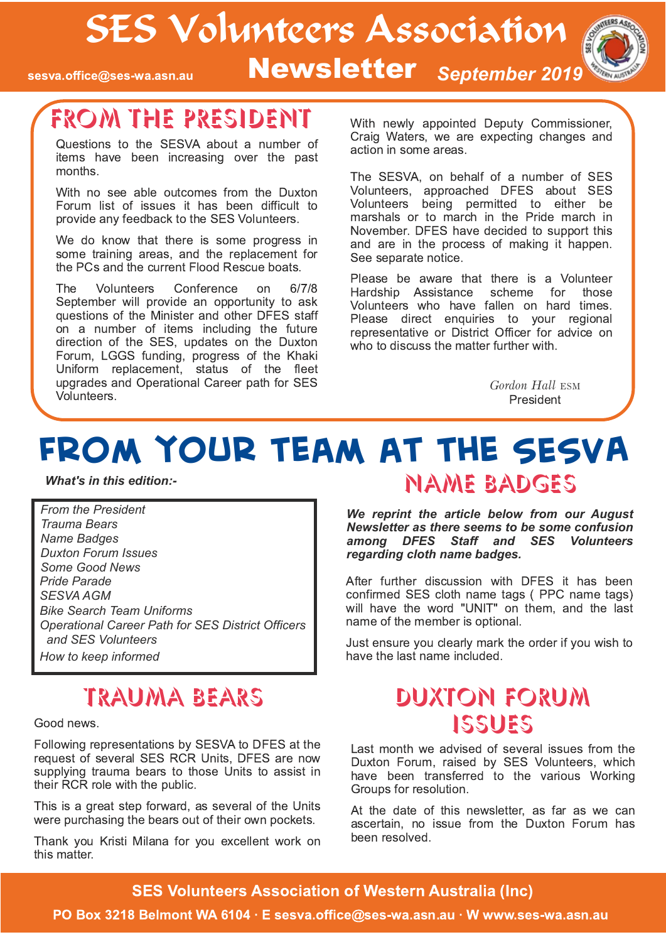# SES Volunteers Association

sesva.office@ses-wa.asn.au

Newsletter September 2019



# FROM THE PRESIDENT

Questions to the SESVA about a number of items have been increasing over the past months.

With no see able outcomes from the Duxton Forum list of issues it has been difficult to provide any feedback to the SES Volunteers.

We do know that there is some progress in some training areas, and the replacement for the PCs and the current Flood Rescue boats.

The **Volunteers** Conference on  $6/7/8$ September will provide an opportunity to ask questions of the Minister and other DFES staff on a number of items including the future direction of the SES, updates on the Duxton Forum, LGGS funding, progress of the Khaki Uniform replacement, status of the fleet upgrades and Operational Career path for SES Volunteers.

With newly appointed Deputy Commissioner, Craig Waters, we are expecting changes and action in some areas.

The SESVA, on behalf of a number of SES Volunteers, approached DFES about SES Volunteers being permitted to either be marshals or to march in the Pride march in November. DFES have decided to support this and are in the process of making it happen. See separate notice.

Please be aware that there is a Volunteer Hardship Assistance scheme for those Volunteers who have fallen on hard times. Please direct enquiries to your regional representative or District Officer for advice on who to discuss the matter further with.

> Gordon Hall ESM President

# FROM YOUR TEAM AT THE SESVA **NAME BADGES**

**What's in this edition:-**

From the President **Trauma Bears Name Badges Duxton Forum Issues** Some Good News Pride Parade **SESVA AGM Bike Search Team Uniforms Operational Career Path for SES District Officers** and SES Volunteers How to keep informed

## **TRAUMA BEARS**

Good news.

Following representations by SESVA to DFES at the request of several SES RCR Units, DFES are now supplying trauma bears to those Units to assist in their RCR role with the public.

This is a great step forward, as several of the Units were purchasing the bears out of their own pockets.

Thank you Kristi Milana for you excellent work on this matter.

We reprint the article below from our August Newsletter as there seems to be some confusion among DFES Staff and SES Volunteers

regarding cloth name badges.

After further discussion with DFES it has been confirmed SES cloth name tags (PPC name tags) will have the word "UNIT" on them, and the last name of the member is optional.

Just ensure you clearly mark the order if you wish to have the last name included.

## DUXTON FORUM ISSUES

Last month we advised of several issues from the Duxton Forum, raised by SES Volunteers, which have been transferred to the various Working Groups for resolution.

At the date of this newsletter, as far as we can ascertain, no issue from the Duxton Forum has been resolved.

### **SES Volunteers Association of Western Australia (Inc)**

#### PO Box 3218 Belmont WA 6104 · E sesva.office@ses-wa.asn.au · W www.ses-wa.asn.au